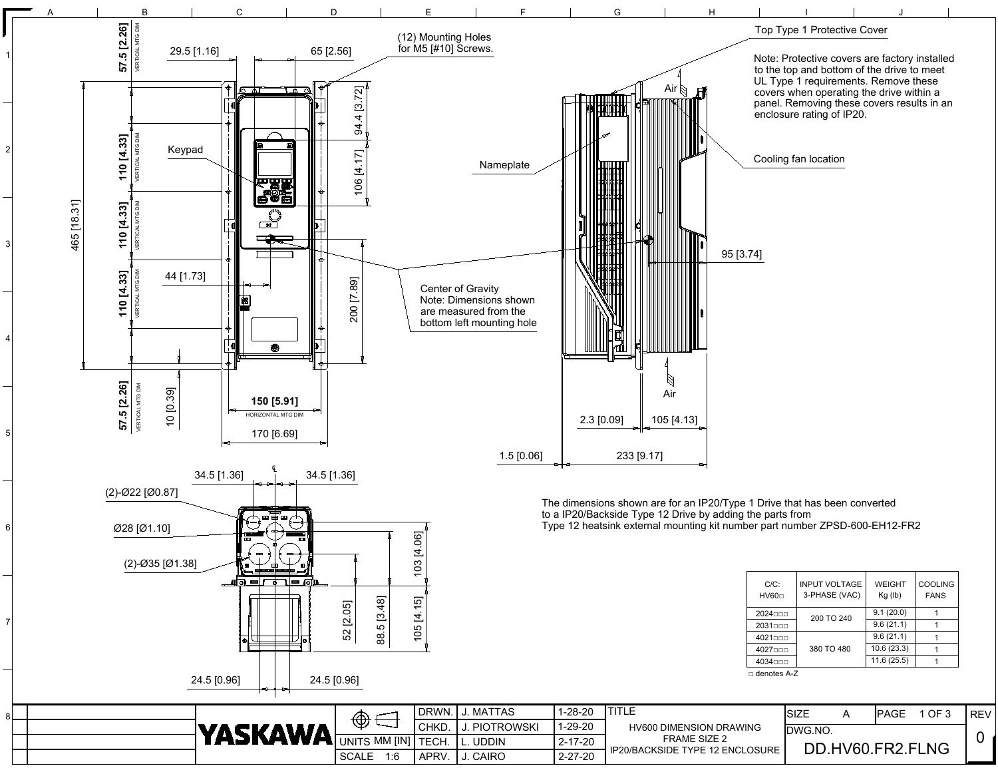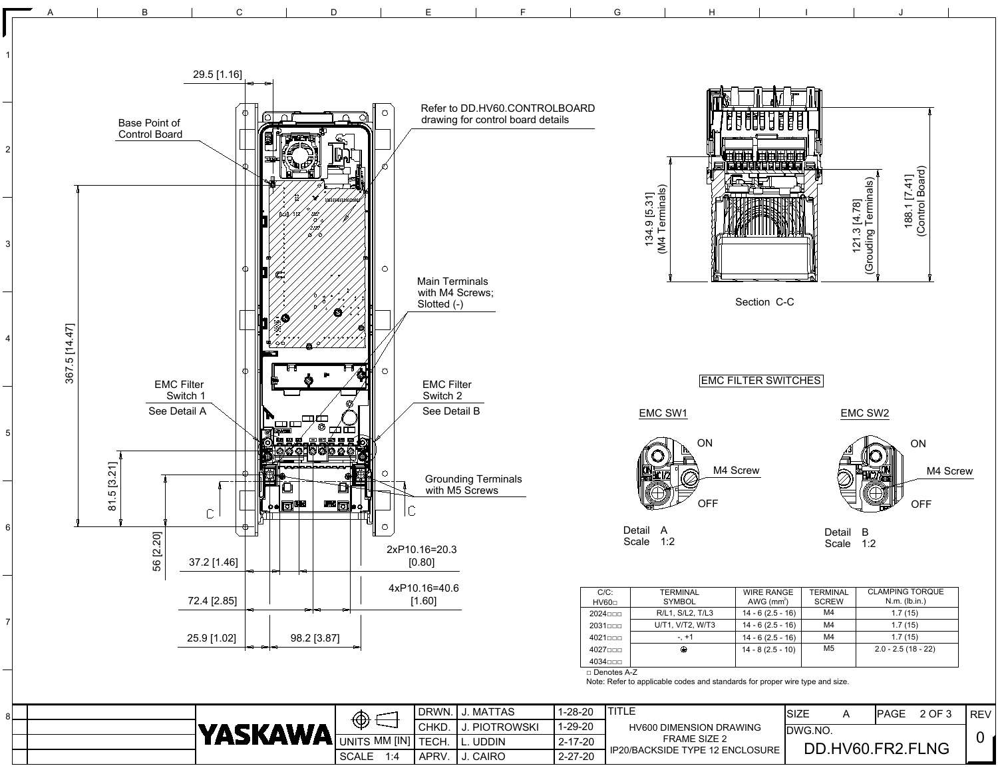